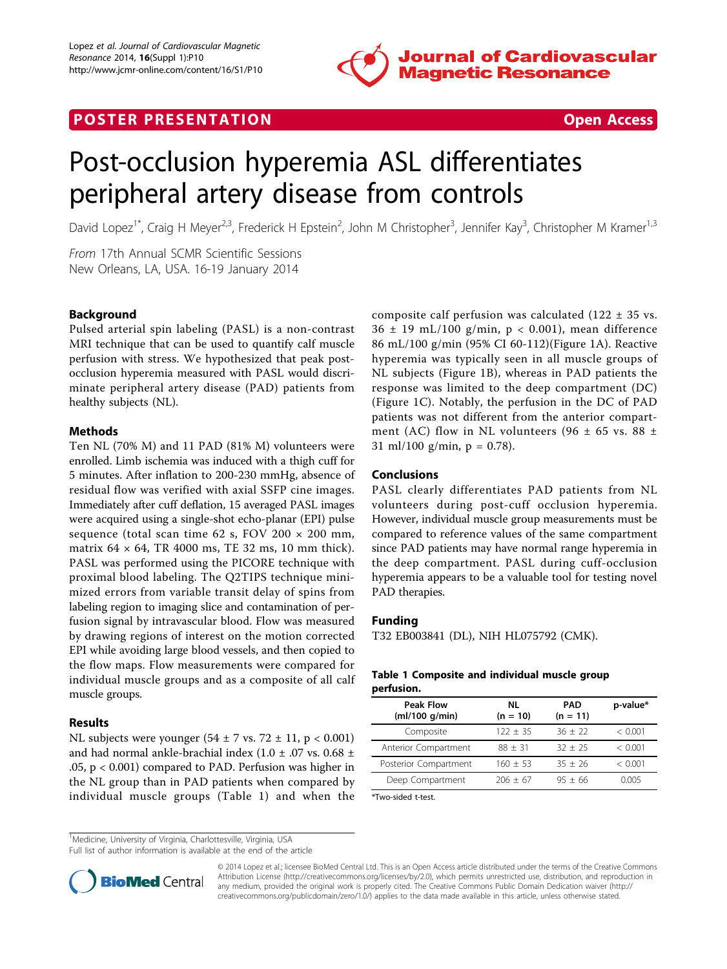

## **POSTER PRESENTATION CONSUMING THE SECOND CONSUMING THE SECOND CONSUMING THE SECOND CONSUMING THE SECOND CONSUMING THE SECOND CONSUMING THE SECOND CONSUMING THE SECOND CONSUMING THE SECOND CONSUMING THE SECOND CONSUMING**



# Post-occlusion hyperemia ASL differentiates peripheral artery disease from controls

David Lopez<sup>1\*</sup>, Craig H Meyer<sup>2,3</sup>, Frederick H Epstein<sup>2</sup>, John M Christopher<sup>3</sup>, Jennifer Kay<sup>3</sup>, Christopher M Kramer<sup>1,3</sup>

From 17th Annual SCMR Scientific Sessions New Orleans, LA, USA. 16-19 January 2014

### Background

Pulsed arterial spin labeling (PASL) is a non-contrast MRI technique that can be used to quantify calf muscle perfusion with stress. We hypothesized that peak postocclusion hyperemia measured with PASL would discriminate peripheral artery disease (PAD) patients from healthy subjects (NL).

#### Methods

Ten NL (70% M) and 11 PAD (81% M) volunteers were enrolled. Limb ischemia was induced with a thigh cuff for 5 minutes. After inflation to 200-230 mmHg, absence of residual flow was verified with axial SSFP cine images. Immediately after cuff deflation, 15 averaged PASL images were acquired using a single-shot echo-planar (EPI) pulse sequence (total scan time 62 s, FOV 200  $\times$  200 mm, matrix  $64 \times 64$ , TR 4000 ms, TE 32 ms, 10 mm thick). PASL was performed using the PICORE technique with proximal blood labeling. The Q2TIPS technique minimized errors from variable transit delay of spins from labeling region to imaging slice and contamination of perfusion signal by intravascular blood. Flow was measured by drawing regions of interest on the motion corrected EPI while avoiding large blood vessels, and then copied to the flow maps. Flow measurements were compared for individual muscle groups and as a composite of all calf muscle groups.

#### Results

NL subjects were younger  $(54 \pm 7 \text{ vs. } 72 \pm 11, \text{ p} < 0.001)$ and had normal ankle-brachial index  $(1.0 \pm .07 \text{ vs. } 0.68 \pm )$ .05, p < 0.001) compared to PAD. Perfusion was higher in the NL group than in PAD patients when compared by individual muscle groups (Table 1) and when the

composite calf perfusion was calculated (122  $\pm$  35 vs.  $36 \pm 19$  mL/100 g/min, p < 0.001), mean difference 86 mL/100 g/min (95% CI 60-112)(Figure [1A](#page-1-0)). Reactive hyperemia was typically seen in all muscle groups of NL subjects (Figure [1B\)](#page-1-0), whereas in PAD patients the response was limited to the deep compartment (DC) (Figure [1C\)](#page-1-0). Notably, the perfusion in the DC of PAD patients was not different from the anterior compartment (AC) flow in NL volunteers (96  $\pm$  65 vs. 88  $\pm$ 31 ml/100 g/min,  $p = 0.78$ ).

#### Conclusions

PASL clearly differentiates PAD patients from NL volunteers during post-cuff occlusion hyperemia. However, individual muscle group measurements must be compared to reference values of the same compartment since PAD patients may have normal range hyperemia in the deep compartment. PASL during cuff-occlusion hyperemia appears to be a valuable tool for testing novel PAD therapies.

#### Funding

T32 EB003841 (DL), NIH HL075792 (CMK).

#### Table 1 Composite and individual muscle group perfusion.

| <b>Peak Flow</b><br>(mI/100 g/min) | NL<br>$(n = 10)$ | <b>PAD</b><br>$(n = 11)$ | p-value* |
|------------------------------------|------------------|--------------------------|----------|
| Composite                          | $122 + 35$       | $36 + 22$                | < 0.001  |
| Anterior Compartment               | $88 + 31$        | $32 + 25$                | < 0.001  |
| Posterior Compartment              | $160 + 53$       | $35 + 26$                | < 0.001  |
| Deep Compartment                   | $206 + 67$       | $95 + 66$                | 0.005    |

\*Two-sided t-test.

<sup>1</sup>Medicine, University of Virginia, Charlottesville, Virginia, USA

Full list of author information is available at the end of the article



© 2014 Lopez et al.; licensee BioMed Central Ltd. This is an Open Access article distributed under the terms of the Creative Commons Attribution License [\(http://creativecommons.org/licenses/by/2.0](http://creativecommons.org/licenses/by/2.0)), which permits unrestricted use, distribution, and reproduction in any medium, provided the original work is properly cited. The Creative Commons Public Domain Dedication waiver [\(http://](http://creativecommons.org/publicdomain/zero/1.0/) [creativecommons.org/publicdomain/zero/1.0/](http://creativecommons.org/publicdomain/zero/1.0/)) applies to the data made available in this article, unless otherwise stated.